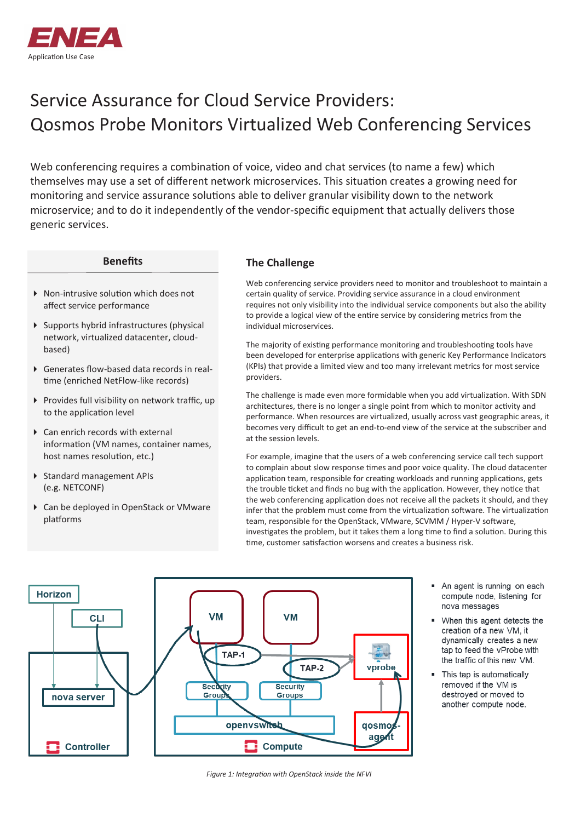

# Service Assurance for Cloud Service Providers: Qosmos Probe Monitors Virtualized Web Conferencing Services

Web conferencing requires a combination of voice, video and chat services (to name a few) which themselves may use a set of different network microservices. This situation creates a growing need for monitoring and service assurance solutions able to deliver granular visibility down to the network microservice; and to do it independently of the vendor-specific equipment that actually delivers those generic services.

#### **Benefits**

- ▶ Non-intrusive solution which does not affect service performance
- $\triangleright$  Supports hybrid infrastructures (physical network, virtualized datacenter, cloudbased)
- Generates flow-based data records in realtime (enriched NetFlow-like records)
- Provides full visibility on network traffic, up to the application level
- ▶ Can enrich records with external information (VM names, container names, host names resolution, etc.)
- Standard management APIs (e.g. NETCONF)
- Can be deployed in OpenStack or VMware platforms

### **The Challenge**

Web conferencing service providers need to monitor and troubleshoot to maintain a certain quality of service. Providing service assurance in a cloud environment requires not only visibility into the individual service components but also the ability to provide a logical view of the entire service by considering metrics from the individual microservices.

The majority of existing performance monitoring and troubleshooting tools have been developed for enterprise applications with generic Key Performance Indicators (KPIs) that provide a limited view and too many irrelevant metrics for most service providers.

The challenge is made even more formidable when you add virtualization. With SDN architectures, there is no longer a single point from which to monitor activity and performance. When resources are virtualized, usually across vast geographic areas, it becomes very difficult to get an end-to-end view of the service at the subscriber and at the session levels.

For example, imagine that the users of a web conferencing service call tech support to complain about slow response times and poor voice quality. The cloud datacenter application team, responsible for creating workloads and running applications, gets the trouble ticket and finds no bug with the application. However, they notice that the web conferencing application does not receive all the packets it should, and they infer that the problem must come from the virtualization software. The virtualization team, responsible for the OpenStack, VMware, SCVMM / Hyper-V software, investigates the problem, but it takes them a long time to find a solution. During this time, customer satisfaction worsens and creates a business risk.



- An agent is running on each compute node, listening for nova messages
- " When this agent detects the creation of a new VM, it dynamically creates a new tap to feed the vProbe with the traffic of this new VM.
- This tap is automatically removed if the VM is destroyed or moved to another compute node.

*Figure 1: Integration with OpenStack inside the NFVI*